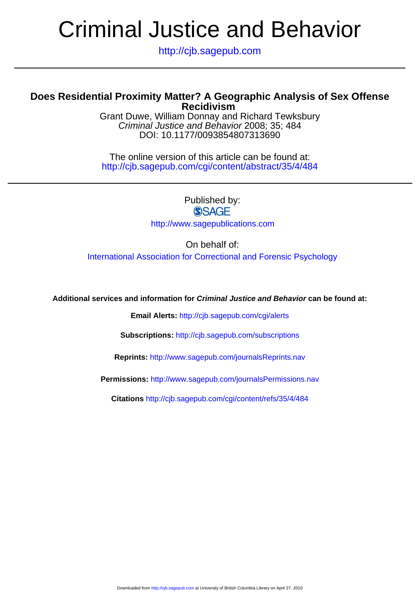# Criminal Justice and Behavior

http://cjb.sagepub.com

#### **Recidivism Does Residential Proximity Matter? A Geographic Analysis of Sex Offense**

DOI: 10.1177/0093854807313690 Criminal Justice and Behavior 2008; 35; 484 Grant Duwe, William Donnay and Richard Tewksbury

http://cjb.sagepub.com/cgi/content/abstract/35/4/484 The online version of this article can be found at:

### Published by: **SSAGE**

http://www.sagepublications.com

On behalf of:

[International Association for Correctional and Forensic Psychology](http://www.ia4cfp.org)

**Additional services and information for Criminal Justice and Behavior can be found at:**

**Email Alerts:** <http://cjb.sagepub.com/cgi/alerts>

**Subscriptions:** <http://cjb.sagepub.com/subscriptions>

**Reprints:** <http://www.sagepub.com/journalsReprints.nav>

**Permissions:** <http://www.sagepub.com/journalsPermissions.nav>

**Citations** <http://cjb.sagepub.com/cgi/content/refs/35/4/484>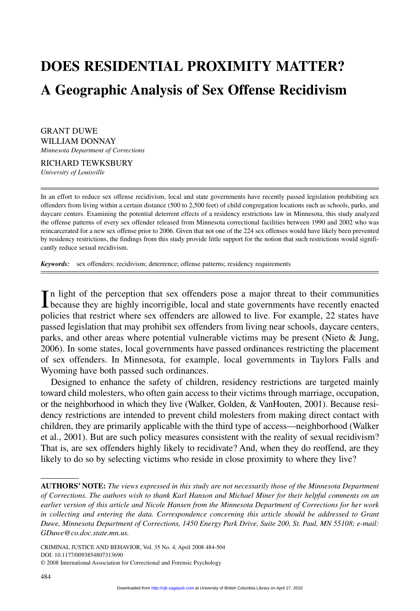## **DOES RESIDENTIAL PROXIMITY MATTER? A Geographic Analysis of Sex Offense Recidivism**

GRANT DUWE WILLIAM DONNAY *Minnesota Department of Corrections*

RICHARD TEWKSBURY *University of Louisville*

In an effort to reduce sex offense recidivism, local and state governments have recently passed legislation prohibiting sex offenders from living within a certain distance (500 to 2,500 feet) of child congregation locations such as schools, parks, and daycare centers. Examining the potential deterrent effects of a residency restrictions law in Minnesota, this study analyzed the offense patterns of every sex offender released from Minnesota correctional facilities between 1990 and 2002 who was reincarcerated for a new sex offense prior to 2006. Given that not one of the 224 sex offenses would have likely been prevented by residency restrictions, the findings from this study provide little support for the notion that such restrictions would significantly reduce sexual recidivism.

*Keywords:* sex offenders; recidivism; deterrence; offense patterns; residency requirements

In light of the perception that sex offenders pose a major threat to their communities because they are highly incorrigible, local and state governments have recently enacted because they are highly incorrigible, local and state governments have recently enacted policies that restrict where sex offenders are allowed to live. For example, 22 states have passed legislation that may prohibit sex offenders from living near schools, daycare centers, parks, and other areas where potential vulnerable victims may be present (Nieto  $\&$  Jung, 2006). In some states, local governments have passed ordinances restricting the placement of sex offenders. In Minnesota, for example, local governments in Taylors Falls and Wyoming have both passed such ordinances.

Designed to enhance the safety of children, residency restrictions are targeted mainly toward child molesters, who often gain access to their victims through marriage, occupation, or the neighborhood in which they live (Walker, Golden, & VanHouten, 2001). Because residency restrictions are intended to prevent child molesters from making direct contact with children, they are primarily applicable with the third type of access—neighborhood (Walker et al., 2001). But are such policy measures consistent with the reality of sexual recidivism? That is, are sex offenders highly likely to recidivate? And, when they do reoffend, are they likely to do so by selecting victims who reside in close proximity to where they live?

CRIMINAL JUSTICE AND BEHAVIOR, Vol. 35 No. 4, April 2008 484-504 DOI: 10.1177/0093854807313690 © 2008 International Association for Correctional and Forensic Psychology

**AUTHORS' NOTE:** *The views expressed in this study are not necessarily those of the Minnesota Department of Corrections. The authors wish to thank Karl Hanson and Michael Miner for their helpful comments on an earlier version of this article and Nicole Hansen from the Minnesota Department of Corrections for her work in collecting and entering the data. Correspondence concerning this article should be addressed to Grant Duwe, Minnesota Department of Corrections, 1450 Energy Park Drive, Suite 200, St. Paul, MN 55108; e-mail: GDuwe@co.doc.state.mn.us.*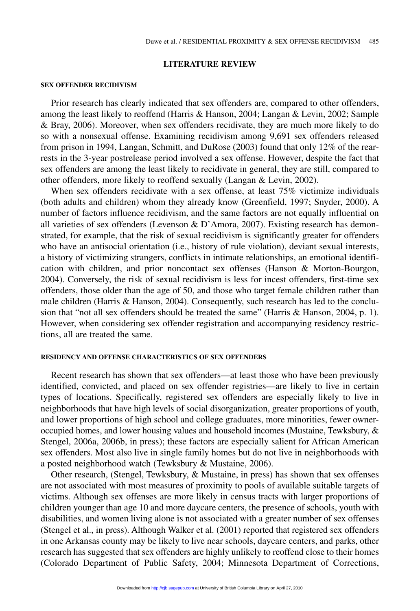#### **LITERATURE REVIEW**

#### **SEX OFFENDER RECIDIVISM**

Prior research has clearly indicated that sex offenders are, compared to other offenders, among the least likely to reoffend (Harris & Hanson, 2004; Langan & Levin, 2002; Sample & Bray, 2006). Moreover, when sex offenders recidivate, they are much more likely to do so with a nonsexual offense. Examining recidivism among 9,691 sex offenders released from prison in 1994, Langan, Schmitt, and DuRose (2003) found that only 12% of the rearrests in the 3-year postrelease period involved a sex offense. However, despite the fact that sex offenders are among the least likely to recidivate in general, they are still, compared to other offenders, more likely to reoffend sexually (Langan & Levin, 2002).

When sex offenders recidivate with a sex offense, at least 75% victimize individuals (both adults and children) whom they already know (Greenfield, 1997; Snyder, 2000). A number of factors influence recidivism, and the same factors are not equally influential on all varieties of sex offenders (Levenson & D'Amora, 2007). Existing research has demonstrated, for example, that the risk of sexual recidivism is significantly greater for offenders who have an antisocial orientation (i.e., history of rule violation), deviant sexual interests, a history of victimizing strangers, conflicts in intimate relationships, an emotional identification with children, and prior noncontact sex offenses (Hanson & Morton-Bourgon, 2004). Conversely, the risk of sexual recidivism is less for incest offenders, first-time sex offenders, those older than the age of 50, and those who target female children rather than male children (Harris & Hanson, 2004). Consequently, such research has led to the conclusion that "not all sex offenders should be treated the same" (Harris & Hanson, 2004, p. 1). However, when considering sex offender registration and accompanying residency restrictions, all are treated the same.

#### **RESIDENCY AND OFFENSE CHARACTERISTICS OF SEX OFFENDERS**

Recent research has shown that sex offenders—at least those who have been previously identified, convicted, and placed on sex offender registries—are likely to live in certain types of locations. Specifically, registered sex offenders are especially likely to live in neighborhoods that have high levels of social disorganization, greater proportions of youth, and lower proportions of high school and college graduates, more minorities, fewer owneroccupied homes, and lower housing values and household incomes (Mustaine, Tewksbury, & Stengel, 2006a, 2006b, in press); these factors are especially salient for African American sex offenders. Most also live in single family homes but do not live in neighborhoods with a posted neighborhood watch (Tewksbury & Mustaine, 2006).

Other research, (Stengel, Tewksbury, & Mustaine, in press) has shown that sex offenses are not associated with most measures of proximity to pools of available suitable targets of victims. Although sex offenses are more likely in census tracts with larger proportions of children younger than age 10 and more daycare centers, the presence of schools, youth with disabilities, and women living alone is not associated with a greater number of sex offenses (Stengel et al., in press). Although Walker et al. (2001) reported that registered sex offenders in one Arkansas county may be likely to live near schools, daycare centers, and parks, other research has suggested that sex offenders are highly unlikely to reoffend close to their homes (Colorado Department of Public Safety, 2004; Minnesota Department of Corrections,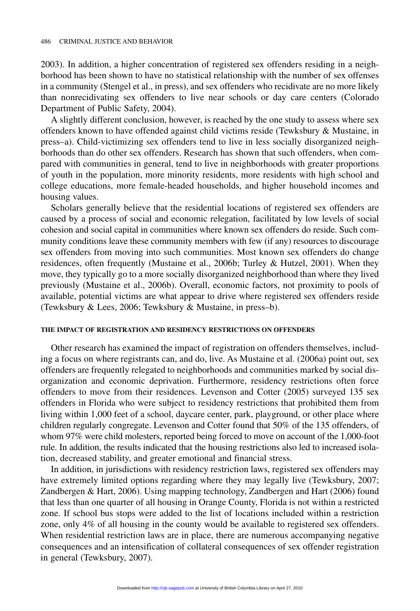2003). In addition, a higher concentration of registered sex offenders residing in a neighborhood has been shown to have no statistical relationship with the number of sex offenses in a community (Stengel et al., in press), and sex offenders who recidivate are no more likely than nonrecidivating sex offenders to live near schools or day care centers (Colorado Department of Public Safety, 2004).

A slightly different conclusion, however, is reached by the one study to assess where sex offenders known to have offended against child victims reside (Tewksbury & Mustaine, in press–a). Child-victimizing sex offenders tend to live in less socially disorganized neighborhoods than do other sex offenders. Research has shown that such offenders, when compared with communities in general, tend to live in neighborhoods with greater proportions of youth in the population, more minority residents, more residents with high school and college educations, more female-headed households, and higher household incomes and housing values.

Scholars generally believe that the residential locations of registered sex offenders are caused by a process of social and economic relegation, facilitated by low levels of social cohesion and social capital in communities where known sex offenders do reside. Such community conditions leave these community members with few (if any) resources to discourage sex offenders from moving into such communities. Most known sex offenders do change residences, often frequently (Mustaine et al., 2006b; Turley & Hutzel, 2001). When they move, they typically go to a more socially disorganized neighborhood than where they lived previously (Mustaine et al., 2006b). Overall, economic factors, not proximity to pools of available, potential victims are what appear to drive where registered sex offenders reside (Tewksbury & Lees, 2006; Tewksbury & Mustaine, in press–b).

#### **THE IMPACT OF REGISTRATION AND RESIDENCY RESTRICTIONS ON OFFENDERS**

Other research has examined the impact of registration on offenders themselves, including a focus on where registrants can, and do, live. As Mustaine et al. (2006a) point out, sex offenders are frequently relegated to neighborhoods and communities marked by social disorganization and economic deprivation. Furthermore, residency restrictions often force offenders to move from their residences. Levenson and Cotter (2005) surveyed 135 sex offenders in Florida who were subject to residency restrictions that prohibited them from living within 1,000 feet of a school, daycare center, park, playground, or other place where children regularly congregate. Levenson and Cotter found that 50% of the 135 offenders, of whom 97% were child molesters, reported being forced to move on account of the 1,000-foot rule. In addition, the results indicated that the housing restrictions also led to increased isolation, decreased stability, and greater emotional and financial stress.

In addition, in jurisdictions with residency restriction laws, registered sex offenders may have extremely limited options regarding where they may legally live (Tewksbury, 2007; Zandbergen & Hart, 2006). Using mapping technology, Zandbergen and Hart (2006) found that less than one quarter of all housing in Orange County, Florida is not within a restricted zone. If school bus stops were added to the list of locations included within a restriction zone, only 4% of all housing in the county would be available to registered sex offenders. When residential restriction laws are in place, there are numerous accompanying negative consequences and an intensification of collateral consequences of sex offender registration in general (Tewksbury, 2007).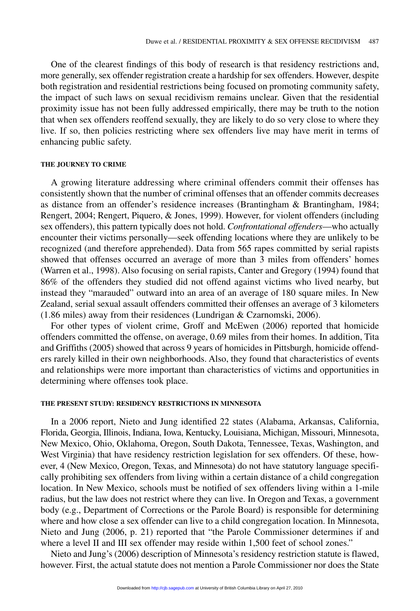One of the clearest findings of this body of research is that residency restrictions and, more generally, sex offender registration create a hardship for sex offenders. However, despite both registration and residential restrictions being focused on promoting community safety, the impact of such laws on sexual recidivism remains unclear. Given that the residential proximity issue has not been fully addressed empirically, there may be truth to the notion that when sex offenders reoffend sexually, they are likely to do so very close to where they live. If so, then policies restricting where sex offenders live may have merit in terms of enhancing public safety.

#### **THE JOURNEY TO CRIME**

A growing literature addressing where criminal offenders commit their offenses has consistently shown that the number of criminal offenses that an offender commits decreases as distance from an offender's residence increases (Brantingham & Brantingham, 1984; Rengert, 2004; Rengert, Piquero, & Jones, 1999). However, for violent offenders (including sex offenders), this pattern typically does not hold. *Confrontational offenders*—who actually encounter their victims personally—seek offending locations where they are unlikely to be recognized (and therefore apprehended). Data from 565 rapes committed by serial rapists showed that offenses occurred an average of more than 3 miles from offenders' homes (Warren et al., 1998). Also focusing on serial rapists, Canter and Gregory (1994) found that 86% of the offenders they studied did not offend against victims who lived nearby, but instead they "marauded" outward into an area of an average of 180 square miles. In New Zealand, serial sexual assault offenders committed their offenses an average of 3 kilometers (1.86 miles) away from their residences (Lundrigan & Czarnomski, 2006).

For other types of violent crime, Groff and McEwen (2006) reported that homicide offenders committed the offense, on average, 0.69 miles from their homes. In addition, Tita and Griffiths (2005) showed that across 9 years of homicides in Pittsburgh, homicide offenders rarely killed in their own neighborhoods. Also, they found that characteristics of events and relationships were more important than characteristics of victims and opportunities in determining where offenses took place.

#### **THE PRESENT STUDY: RESIDENCY RESTRICTIONS IN MINNESOTA**

In a 2006 report, Nieto and Jung identified 22 states (Alabama, Arkansas, California, Florida, Georgia, Illinois, Indiana, Iowa, Kentucky, Louisiana, Michigan, Missouri, Minnesota, New Mexico, Ohio, Oklahoma, Oregon, South Dakota, Tennessee, Texas, Washington, and West Virginia) that have residency restriction legislation for sex offenders. Of these, however, 4 (New Mexico, Oregon, Texas, and Minnesota) do not have statutory language specifically prohibiting sex offenders from living within a certain distance of a child congregation location. In New Mexico, schools must be notified of sex offenders living within a 1-mile radius, but the law does not restrict where they can live. In Oregon and Texas, a government body (e.g., Department of Corrections or the Parole Board) is responsible for determining where and how close a sex offender can live to a child congregation location. In Minnesota, Nieto and Jung (2006, p. 21) reported that "the Parole Commissioner determines if and where a level II and III sex offender may reside within 1,500 feet of school zones."

Nieto and Jung's (2006) description of Minnesota's residency restriction statute is flawed, however. First, the actual statute does not mention a Parole Commissioner nor does the State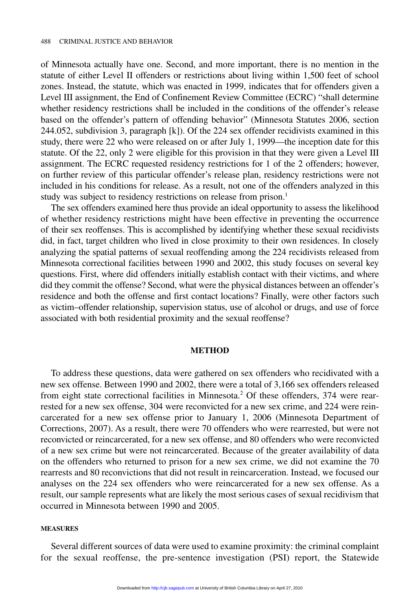of Minnesota actually have one. Second, and more important, there is no mention in the statute of either Level II offenders or restrictions about living within 1,500 feet of school zones. Instead, the statute, which was enacted in 1999, indicates that for offenders given a Level III assignment, the End of Confinement Review Committee (ECRC) "shall determine whether residency restrictions shall be included in the conditions of the offender's release based on the offender's pattern of offending behavior" (Minnesota Statutes 2006, section 244.052, subdivision 3, paragraph [k]). Of the 224 sex offender recidivists examined in this study, there were 22 who were released on or after July 1, 1999—the inception date for this statute. Of the 22, only 2 were eligible for this provision in that they were given a Level III assignment. The ECRC requested residency restrictions for 1 of the 2 offenders; however, on further review of this particular offender's release plan, residency restrictions were not included in his conditions for release. As a result, not one of the offenders analyzed in this study was subject to residency restrictions on release from prison.<sup>1</sup>

The sex offenders examined here thus provide an ideal opportunity to assess the likelihood of whether residency restrictions might have been effective in preventing the occurrence of their sex reoffenses. This is accomplished by identifying whether these sexual recidivists did, in fact, target children who lived in close proximity to their own residences. In closely analyzing the spatial patterns of sexual reoffending among the 224 recidivists released from Minnesota correctional facilities between 1990 and 2002, this study focuses on several key questions. First, where did offenders initially establish contact with their victims, and where did they commit the offense? Second, what were the physical distances between an offender's residence and both the offense and first contact locations? Finally, were other factors such as victim–offender relationship, supervision status, use of alcohol or drugs, and use of force associated with both residential proximity and the sexual reoffense?

#### **METHOD**

To address these questions, data were gathered on sex offenders who recidivated with a new sex offense. Between 1990 and 2002, there were a total of 3,166 sex offenders released from eight state correctional facilities in Minnesota.<sup>2</sup> Of these offenders, 374 were rearrested for a new sex offense, 304 were reconvicted for a new sex crime, and 224 were reincarcerated for a new sex offense prior to January 1, 2006 (Minnesota Department of Corrections, 2007). As a result, there were 70 offenders who were rearrested, but were not reconvicted or reincarcerated, for a new sex offense, and 80 offenders who were reconvicted of a new sex crime but were not reincarcerated. Because of the greater availability of data on the offenders who returned to prison for a new sex crime, we did not examine the 70 rearrests and 80 reconvictions that did not result in reincarceration. Instead, we focused our analyses on the 224 sex offenders who were reincarcerated for a new sex offense. As a result, our sample represents what are likely the most serious cases of sexual recidivism that occurred in Minnesota between 1990 and 2005.

#### **MEASURES**

Several different sources of data were used to examine proximity: the criminal complaint for the sexual reoffense, the pre-sentence investigation (PSI) report, the Statewide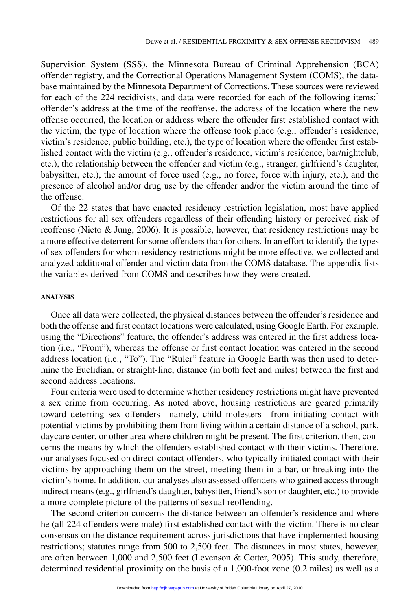Supervision System (SSS), the Minnesota Bureau of Criminal Apprehension (BCA) offender registry, and the Correctional Operations Management System (COMS), the database maintained by the Minnesota Department of Corrections. These sources were reviewed for each of the 224 recidivists, and data were recorded for each of the following items:<sup>3</sup> offender's address at the time of the reoffense, the address of the location where the new offense occurred, the location or address where the offender first established contact with the victim, the type of location where the offense took place (e.g., offender's residence, victim's residence, public building, etc.), the type of location where the offender first established contact with the victim (e.g., offender's residence, victim's residence, bar/nightclub, etc.), the relationship between the offender and victim (e.g., stranger, girlfriend's daughter, babysitter, etc.), the amount of force used (e.g., no force, force with injury, etc.), and the presence of alcohol and/or drug use by the offender and/or the victim around the time of the offense.

Of the 22 states that have enacted residency restriction legislation, most have applied restrictions for all sex offenders regardless of their offending history or perceived risk of reoffense (Nieto & Jung, 2006). It is possible, however, that residency restrictions may be a more effective deterrent for some offenders than for others. In an effort to identify the types of sex offenders for whom residency restrictions might be more effective, we collected and analyzed additional offender and victim data from the COMS database. The appendix lists the variables derived from COMS and describes how they were created.

#### **ANALYSIS**

Once all data were collected, the physical distances between the offender's residence and both the offense and first contact locations were calculated, using Google Earth. For example, using the "Directions" feature, the offender's address was entered in the first address location (i.e., "From"), whereas the offense or first contact location was entered in the second address location (i.e., "To"). The "Ruler" feature in Google Earth was then used to determine the Euclidian, or straight-line, distance (in both feet and miles) between the first and second address locations.

Four criteria were used to determine whether residency restrictions might have prevented a sex crime from occurring. As noted above, housing restrictions are geared primarily toward deterring sex offenders—namely, child molesters—from initiating contact with potential victims by prohibiting them from living within a certain distance of a school, park, daycare center, or other area where children might be present. The first criterion, then, concerns the means by which the offenders established contact with their victims. Therefore, our analyses focused on direct-contact offenders, who typically initiated contact with their victims by approaching them on the street, meeting them in a bar, or breaking into the victim's home. In addition, our analyses also assessed offenders who gained access through indirect means (e.g., girlfriend's daughter, babysitter, friend's son or daughter, etc.) to provide a more complete picture of the patterns of sexual reoffending.

The second criterion concerns the distance between an offender's residence and where he (all 224 offenders were male) first established contact with the victim. There is no clear consensus on the distance requirement across jurisdictions that have implemented housing restrictions; statutes range from 500 to 2,500 feet. The distances in most states, however, are often between 1,000 and 2,500 feet (Levenson & Cotter, 2005). This study, therefore, determined residential proximity on the basis of a 1,000-foot zone (0.2 miles) as well as a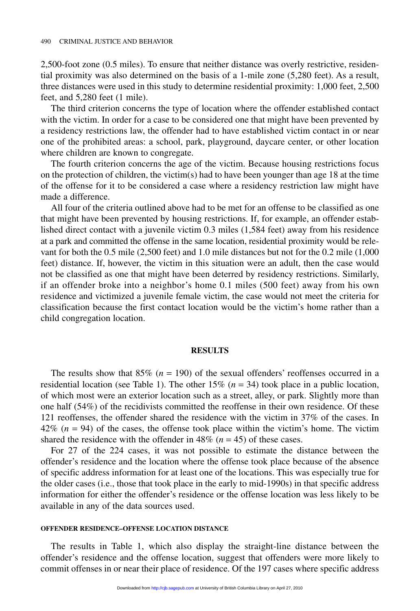2,500-foot zone (0.5 miles). To ensure that neither distance was overly restrictive, residential proximity was also determined on the basis of a 1-mile zone (5,280 feet). As a result, three distances were used in this study to determine residential proximity: 1,000 feet, 2,500 feet, and 5,280 feet (1 mile).

The third criterion concerns the type of location where the offender established contact with the victim. In order for a case to be considered one that might have been prevented by a residency restrictions law, the offender had to have established victim contact in or near one of the prohibited areas: a school, park, playground, daycare center, or other location where children are known to congregate.

The fourth criterion concerns the age of the victim. Because housing restrictions focus on the protection of children, the victim(s) had to have been younger than age 18 at the time of the offense for it to be considered a case where a residency restriction law might have made a difference.

All four of the criteria outlined above had to be met for an offense to be classified as one that might have been prevented by housing restrictions. If, for example, an offender established direct contact with a juvenile victim 0.3 miles (1,584 feet) away from his residence at a park and committed the offense in the same location, residential proximity would be relevant for both the 0.5 mile (2,500 feet) and 1.0 mile distances but not for the 0.2 mile (1,000 feet) distance. If, however, the victim in this situation were an adult, then the case would not be classified as one that might have been deterred by residency restrictions. Similarly, if an offender broke into a neighbor's home 0.1 miles (500 feet) away from his own residence and victimized a juvenile female victim, the case would not meet the criteria for classification because the first contact location would be the victim's home rather than a child congregation location.

#### **RESULTS**

The results show that  $85\%$  ( $n = 190$ ) of the sexual offenders' reoffenses occurred in a residential location (see Table 1). The other  $15\%$  ( $n = 34$ ) took place in a public location, of which most were an exterior location such as a street, alley, or park. Slightly more than one half (54%) of the recidivists committed the reoffense in their own residence. Of these 121 reoffenses, the offender shared the residence with the victim in 37% of the cases. In  $42\%$  ( $n = 94$ ) of the cases, the offense took place within the victim's home. The victim shared the residence with the offender in  $48\%$  ( $n = 45$ ) of these cases.

For 27 of the 224 cases, it was not possible to estimate the distance between the offender's residence and the location where the offense took place because of the absence of specific address information for at least one of the locations. This was especially true for the older cases (i.e., those that took place in the early to mid-1990s) in that specific address information for either the offender's residence or the offense location was less likely to be available in any of the data sources used.

#### **OFFENDER RESIDENCE–OFFENSE LOCATION DISTANCE**

The results in Table 1, which also display the straight-line distance between the offender's residence and the offense location, suggest that offenders were more likely to commit offenses in or near their place of residence. Of the 197 cases where specific address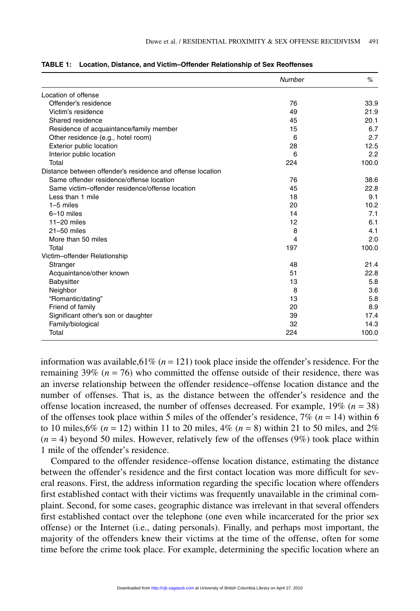|                                                            | Number | %     |
|------------------------------------------------------------|--------|-------|
| Location of offense                                        |        |       |
| Offender's residence                                       | 76     | 33.9  |
| Victim's residence                                         | 49     | 21.9  |
| Shared residence                                           | 45     | 20.1  |
| Residence of acquaintance/family member                    | 15     | 6.7   |
| Other residence (e.g., hotel room)                         | 6      | 2.7   |
| Exterior public location                                   | 28     | 12.5  |
| Interior public location                                   | 6      | 2.2   |
| Total                                                      | 224    | 100.0 |
| Distance between offender's residence and offense location |        |       |
| Same offender residence/offense location                   | 76     | 38.6  |
| Same victim-offender residence/offense location            | 45     | 22.8  |
| Less than 1 mile                                           | 18     | 9.1   |
| $1-5$ miles                                                | 20     | 10.2  |
| $6-10$ miles                                               | 14     | 7.1   |
| $11-20$ miles                                              | 12     | 6.1   |
| 21-50 miles                                                | 8      | 4.1   |
| More than 50 miles                                         | 4      | 2.0   |
| Total                                                      | 197    | 100.0 |
| Victim-offender Relationship                               |        |       |
| Stranger                                                   | 48     | 21.4  |
| Acquaintance/other known                                   | 51     | 22.8  |
| Babysitter                                                 | 13     | 5.8   |
| Neighbor                                                   | 8      | 3.6   |
| "Romantic/dating"                                          | 13     | 5.8   |
| Friend of family                                           | 20     | 8.9   |
| Significant other's son or daughter                        | 39     | 17.4  |
| Family/biological                                          | 32     | 14.3  |
| Total                                                      | 224    | 100.0 |

|  |  |  |  |  |  |  |  | TABLE 1: Location, Distance, and Victim-Offender Relationship of Sex Reoffenses |
|--|--|--|--|--|--|--|--|---------------------------------------------------------------------------------|
|--|--|--|--|--|--|--|--|---------------------------------------------------------------------------------|

information was available,61% ( $n = 121$ ) took place inside the offender's residence. For the remaining  $39\%$  ( $n = 76$ ) who committed the offense outside of their residence, there was an inverse relationship between the offender residence–offense location distance and the number of offenses. That is, as the distance between the offender's residence and the offense location increased, the number of offenses decreased. For example, 19% (*n* = 38) of the offenses took place within 5 miles of the offender's residence,  $7\%$  ( $n = 14$ ) within 6 to 10 miles,6% ( $n = 12$ ) within 11 to 20 miles, 4% ( $n = 8$ ) within 21 to 50 miles, and 2%  $(n = 4)$  beyond 50 miles. However, relatively few of the offenses  $(9%)$  took place within 1 mile of the offender's residence.

Compared to the offender residence–offense location distance, estimating the distance between the offender's residence and the first contact location was more difficult for several reasons. First, the address information regarding the specific location where offenders first established contact with their victims was frequently unavailable in the criminal complaint. Second, for some cases, geographic distance was irrelevant in that several offenders first established contact over the telephone (one even while incarcerated for the prior sex offense) or the Internet (i.e., dating personals). Finally, and perhaps most important, the majority of the offenders knew their victims at the time of the offense, often for some time before the crime took place. For example, determining the specific location where an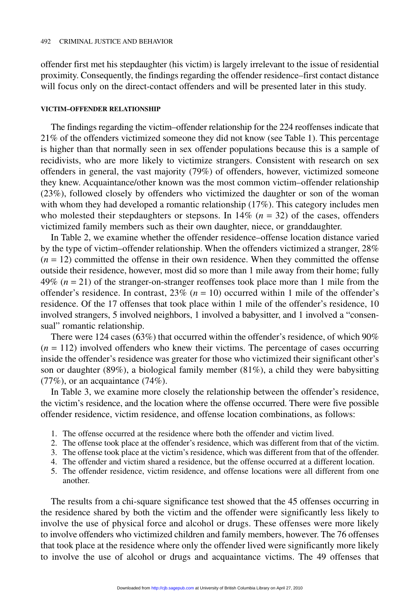offender first met his stepdaughter (his victim) is largely irrelevant to the issue of residential proximity. Consequently, the findings regarding the offender residence–first contact distance will focus only on the direct-contact offenders and will be presented later in this study.

#### **VICTIM–OFFENDER RELATIONSHIP**

The findings regarding the victim–offender relationship for the 224 reoffenses indicate that 21% of the offenders victimized someone they did not know (see Table 1). This percentage is higher than that normally seen in sex offender populations because this is a sample of recidivists, who are more likely to victimize strangers. Consistent with research on sex offenders in general, the vast majority (79%) of offenders, however, victimized someone they knew. Acquaintance/other known was the most common victim–offender relationship (23%), followed closely by offenders who victimized the daughter or son of the woman with whom they had developed a romantic relationship (17%). This category includes men who molested their stepdaughters or stepsons. In  $14\%$  ( $n = 32$ ) of the cases, offenders victimized family members such as their own daughter, niece, or granddaughter.

In Table 2, we examine whether the offender residence–offense location distance varied by the type of victim–offender relationship. When the offenders victimized a stranger, 28%  $(n = 12)$  committed the offense in their own residence. When they committed the offense outside their residence, however, most did so more than 1 mile away from their home; fully 49% (*n* = 21) of the stranger-on-stranger reoffenses took place more than 1 mile from the offender's residence. In contrast, 23% (*n* = 10) occurred within 1 mile of the offender's residence. Of the 17 offenses that took place within 1 mile of the offender's residence, 10 involved strangers, 5 involved neighbors, 1 involved a babysitter, and 1 involved a "consensual" romantic relationship.

There were 124 cases (63%) that occurred within the offender's residence, of which 90%  $(n = 112)$  involved offenders who knew their victims. The percentage of cases occurring inside the offender's residence was greater for those who victimized their significant other's son or daughter (89%), a biological family member (81%), a child they were babysitting  $(77\%)$ , or an acquaintance  $(74\%)$ .

In Table 3, we examine more closely the relationship between the offender's residence, the victim's residence, and the location where the offense occurred. There were five possible offender residence, victim residence, and offense location combinations, as follows:

- 1. The offense occurred at the residence where both the offender and victim lived.
- 2. The offense took place at the offender's residence, which was different from that of the victim.
- 3. The offense took place at the victim's residence, which was different from that of the offender.
- 4. The offender and victim shared a residence, but the offense occurred at a different location.
- 5. The offender residence, victim residence, and offense locations were all different from one another.

The results from a chi-square significance test showed that the 45 offenses occurring in the residence shared by both the victim and the offender were significantly less likely to involve the use of physical force and alcohol or drugs. These offenses were more likely to involve offenders who victimized children and family members, however. The 76 offenses that took place at the residence where only the offender lived were significantly more likely to involve the use of alcohol or drugs and acquaintance victims. The 49 offenses that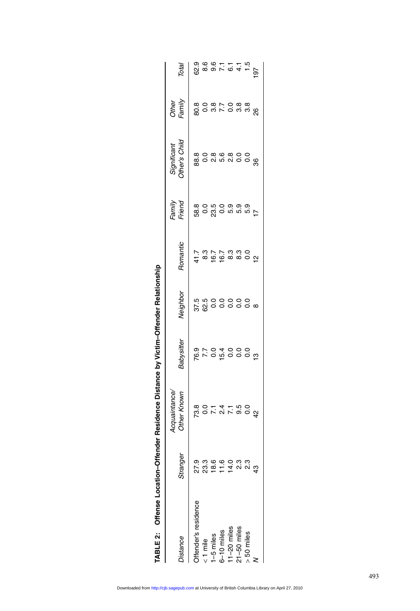| TABLE 2: Offense Location-Offender |                | r Residence Distance by Victim-Offender Relationship |                                                 |                                |               |                              |                                       |                                |                  |
|------------------------------------|----------------|------------------------------------------------------|-------------------------------------------------|--------------------------------|---------------|------------------------------|---------------------------------------|--------------------------------|------------------|
| <b>Distance</b>                    | Stranger       | Acquaintance<br>Other Known                          | Babysitter                                      | Neighbor                       | Romantic      | Family<br>Friend             | Significant<br>Other's Child          | Other<br>Family                | Total            |
| Offender's residence               | 27.9           | 73.8                                                 |                                                 |                                | 41.7          |                              |                                       |                                | 62.9             |
| $< 1$ mile                         | 23.3           |                                                      |                                                 |                                |               | 58.8<br>0.0                  |                                       |                                | 8.6<br>8.9       |
| -5 miles                           |                |                                                      |                                                 |                                |               |                              |                                       |                                |                  |
| $6 - 10$ miles                     | $18.6$<br>11.6 | 0.141.0<br>0.141.0                                   |                                                 |                                |               |                              |                                       |                                | $\frac{7}{6}$    |
| 1-20 miles                         | 14.0           |                                                      |                                                 |                                |               |                              |                                       |                                |                  |
| $21 - 50$ miles                    | 2.3            |                                                      | v<br>0. v 0. 4. 0. 0. 0.<br>0. v 0. 4. 0. 0. 0. | s s o o o o o<br>8 s o o o o o |               | n o o o o<br>ຕູ o n n n<br>လ | 8 0 8 8 8 9 0<br>8 0 1 8 8 9 0 0<br>8 | 8 0 8 N 0 8 8<br>8 0 8 N 0 8 8 | $\frac{4}{1}$ .5 |
| $>50$ miles                        | 2.3            | ္ပိ                                                  |                                                 |                                |               |                              |                                       |                                |                  |
|                                    | 43             | $\frac{2}{3}$                                        | $\frac{8}{1}$                                   | $\infty$                       | $\frac{1}{2}$ | $\overline{C}$               | 86                                    | 26                             | 50               |
|                                    |                |                                                      |                                                 |                                |               |                              |                                       |                                |                  |

| l |
|---|
|   |
|   |
|   |
|   |
|   |
|   |
|   |
|   |
|   |
|   |
|   |
|   |
|   |
|   |
|   |
|   |
|   |
|   |
|   |
|   |
| i |
|   |
|   |
|   |
|   |
|   |
|   |
|   |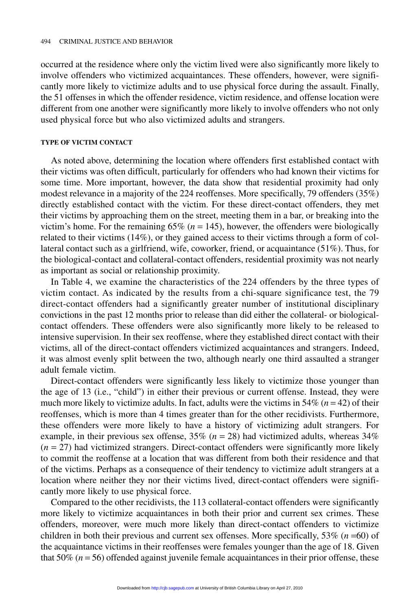occurred at the residence where only the victim lived were also significantly more likely to involve offenders who victimized acquaintances. These offenders, however, were significantly more likely to victimize adults and to use physical force during the assault. Finally, the 51 offenses in which the offender residence, victim residence, and offense location were different from one another were significantly more likely to involve offenders who not only used physical force but who also victimized adults and strangers.

#### **TYPE OF VICTIM CONTACT**

As noted above, determining the location where offenders first established contact with their victims was often difficult, particularly for offenders who had known their victims for some time. More important, however, the data show that residential proximity had only modest relevance in a majority of the 224 reoffenses. More specifically, 79 offenders (35%) directly established contact with the victim. For these direct-contact offenders, they met their victims by approaching them on the street, meeting them in a bar, or breaking into the victim's home. For the remaining  $65\%$  ( $n = 145$ ), however, the offenders were biologically related to their victims (14%), or they gained access to their victims through a form of collateral contact such as a girlfriend, wife, coworker, friend, or acquaintance (51%). Thus, for the biological-contact and collateral-contact offenders, residential proximity was not nearly as important as social or relationship proximity.

In Table 4, we examine the characteristics of the 224 offenders by the three types of victim contact. As indicated by the results from a chi-square significance test, the 79 direct-contact offenders had a significantly greater number of institutional disciplinary convictions in the past 12 months prior to release than did either the collateral- or biologicalcontact offenders. These offenders were also significantly more likely to be released to intensive supervision. In their sex reoffense, where they established direct contact with their victims, all of the direct-contact offenders victimized acquaintances and strangers. Indeed, it was almost evenly split between the two, although nearly one third assaulted a stranger adult female victim.

Direct-contact offenders were significantly less likely to victimize those younger than the age of 13 (i.e., "child") in either their previous or current offense. Instead, they were much more likely to victimize adults. In fact, adults were the victims in  $54\%$  ( $n = 42$ ) of their reoffenses, which is more than 4 times greater than for the other recidivists. Furthermore, these offenders were more likely to have a history of victimizing adult strangers. For example, in their previous sex offense,  $35\%$  ( $n = 28$ ) had victimized adults, whereas  $34\%$  $(n = 27)$  had victimized strangers. Direct-contact offenders were significantly more likely to commit the reoffense at a location that was different from both their residence and that of the victims. Perhaps as a consequence of their tendency to victimize adult strangers at a location where neither they nor their victims lived, direct-contact offenders were significantly more likely to use physical force.

Compared to the other recidivists, the 113 collateral-contact offenders were significantly more likely to victimize acquaintances in both their prior and current sex crimes. These offenders, moreover, were much more likely than direct-contact offenders to victimize children in both their previous and current sex offenses. More specifically, 53% (*n* =60) of the acquaintance victims in their reoffenses were females younger than the age of 18. Given that  $50\%$  ( $n = 56$ ) offended against juvenile female acquaintances in their prior offense, these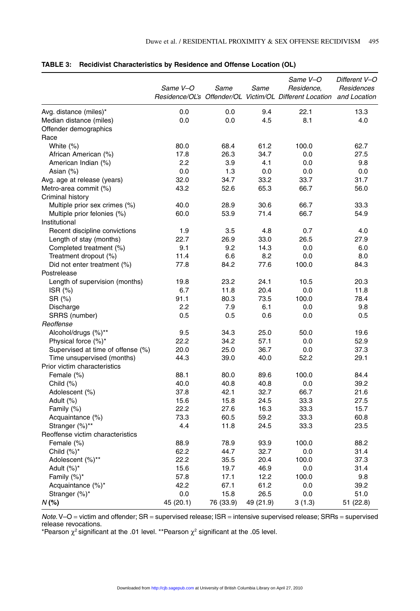|                                   | Same V-O  | Same      | Same      | Same V-O<br>Residence,<br>Residence/OL's Offender/OL Victim/OL Different Location and Location | Different V-O<br>Residences |
|-----------------------------------|-----------|-----------|-----------|------------------------------------------------------------------------------------------------|-----------------------------|
| Avg. distance (miles)*            | 0.0       | 0.0       | 9.4       | 22.1                                                                                           | 13.3                        |
| Median distance (miles)           | 0.0       | 0.0       | 4.5       | 8.1                                                                                            | 4.0                         |
| Offender demographics             |           |           |           |                                                                                                |                             |
| Race                              |           |           |           |                                                                                                |                             |
| White (%)                         | 80.0      | 68.4      | 61.2      | 100.0                                                                                          | 62.7                        |
| African American (%)              | 17.8      | 26.3      | 34.7      | 0.0                                                                                            | 27.5                        |
| American Indian (%)               | 2.2       | 3.9       | 4.1       | 0.0                                                                                            | 9.8                         |
| Asian (%)                         | 0.0       | 1.3       | 0.0       | 0.0                                                                                            | 0.0                         |
| Avg. age at release (years)       | 32.0      | 34.7      | 33.2      | 33.7                                                                                           | 31.7                        |
| Metro-area commit (%)             | 43.2      | 52.6      | 65.3      | 66.7                                                                                           | 56.0                        |
| Criminal history                  |           |           |           |                                                                                                |                             |
| Multiple prior sex crimes (%)     | 40.0      | 28.9      | 30.6      | 66.7                                                                                           | 33.3                        |
| Multiple prior felonies (%)       | 60.0      | 53.9      | 71.4      | 66.7                                                                                           | 54.9                        |
| Institutional                     |           |           |           |                                                                                                |                             |
| Recent discipline convictions     | 1.9       | 3.5       | 4.8       | 0.7                                                                                            | 4.0                         |
| Length of stay (months)           | 22.7      | 26.9      | 33.0      | 26.5                                                                                           | 27.9                        |
| Completed treatment (%)           | 9.1       | 9.2       | 14.3      | 0.0                                                                                            | 6.0                         |
| Treatment dropout (%)             | 11.4      | 6.6       | 8.2       | 0.0                                                                                            | 8.0                         |
| Did not enter treatment (%)       | 77.8      | 84.2      | 77.6      | 100.0                                                                                          | 84.3                        |
| Postrelease                       |           |           |           |                                                                                                |                             |
| Length of supervision (months)    | 19.8      | 23.2      | 24.1      | 10.5                                                                                           | 20.3                        |
| ISR (%)                           | 6.7       | 11.8      | 20.4      | 0.0                                                                                            | 11.8                        |
| SR (%)                            | 91.1      | 80.3      | 73.5      | 100.0                                                                                          | 78.4                        |
| Discharge                         | 2.2       | 7.9       | 6.1       | 0.0                                                                                            | 9.8                         |
| SRRS (number)                     | 0.5       | 0.5       | 0.6       | 0.0                                                                                            | 0.5                         |
| Reoffense                         |           |           |           |                                                                                                |                             |
| Alcohol/drugs (%)**               | 9.5       | 34.3      | 25.0      | 50.0                                                                                           | 19.6                        |
| Physical force (%)*               | 22.2      | 34.2      | 57.1      | 0.0                                                                                            | 52.9                        |
| Supervised at time of offense (%) | 20.0      | 25.0      | 36.7      | 0.0                                                                                            | 37.3                        |
| Time unsupervised (months)        | 44.3      | 39.0      | 40.0      | 52.2                                                                                           | 29.1                        |
| Prior victim characteristics      |           |           |           |                                                                                                |                             |
| Female (%)                        | 88.1      | 80.0      | 89.6      | 100.0                                                                                          | 84.4                        |
| Child $(\%)$                      | 40.0      | 40.8      | 40.8      | 0.0                                                                                            | 39.2                        |
| Adolescent (%)                    | 37.8      | 42.1      | 32.7      | 66.7                                                                                           | 21.6                        |
| Adult (%)                         | 15.6      | 15.8      | 24.5      | 33.3                                                                                           | 27.5                        |
| Family (%)                        | 22.2      | 27.6      | 16.3      | 33.3                                                                                           | 15.7                        |
| Acquaintance (%)                  | 73.3      | 60.5      | 59.2      | 33.3                                                                                           | 60.8                        |
| Stranger (%)**                    | 4.4       | 11.8      | 24.5      | 33.3                                                                                           | 23.5                        |
| Reoffense victim characteristics  |           |           |           |                                                                                                |                             |
| Female (%)                        | 88.9      | 78.9      | 93.9      | 100.0                                                                                          | 88.2                        |
| Child $(\%)^*$                    | 62.2      | 44.7      | 32.7      | 0.0                                                                                            | 31.4                        |
| Adolescent (%)**                  | 22.2      | 35.5      | 20.4      | 100.0                                                                                          | 37.3                        |
| Adult $(\%)^*$                    | 15.6      | 19.7      | 46.9      | 0.0                                                                                            | 31.4                        |
| Family $(\%)^*$                   | 57.8      | 17.1      | 12.2      | 100.0                                                                                          | 9.8                         |
| Acquaintance (%)*                 | 42.2      | 67.1      | 61.2      | 0.0                                                                                            | 39.2                        |
| Stranger (%)*                     | 0.0       | 15.8      | 26.5      | 0.0                                                                                            | 51.0                        |
| $N$ (%)                           | 45 (20.1) | 76 (33.9) | 49 (21.9) | 3(1.3)                                                                                         | 51 (22.8)                   |

#### **TABLE 3: Recidivist Characteristics by Residence and Offense Location (OL)**

Note. V–O = victim and offender; SR = supervised release; ISR = intensive supervised release; SRRs = supervised release revocations.

\*Pearson  $\chi^2$  significant at the .01 level. \*\*Pearson  $\chi^2$  significant at the .05 level.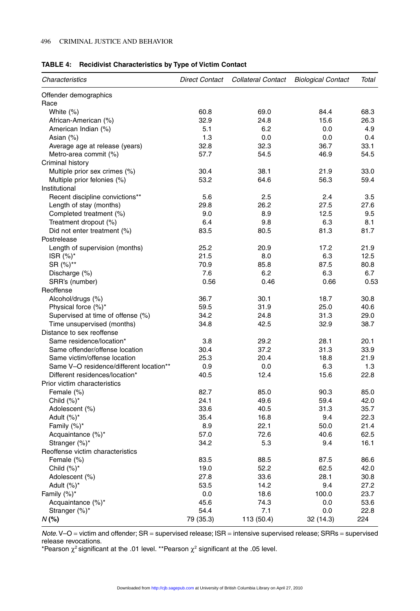| Characteristics                         | Direct Contact | <b>Collateral Contact</b> | <b>Biological Contact</b> | Total |
|-----------------------------------------|----------------|---------------------------|---------------------------|-------|
| Offender demographics                   |                |                           |                           |       |
| Race                                    |                |                           |                           |       |
| White (%)                               | 60.8           | 69.0                      | 84.4                      | 68.3  |
| African-American (%)                    | 32.9           | 24.8                      | 15.6                      | 26.3  |
| American Indian (%)                     | 5.1            | 6.2                       | 0.0                       | 4.9   |
| Asian (%)                               | 1.3            | 0.0                       | 0.0                       | 0.4   |
| Average age at release (years)          | 32.8           | 32.3                      | 36.7                      | 33.1  |
| Metro-area commit (%)                   | 57.7           | 54.5                      | 46.9                      | 54.5  |
| Criminal history                        |                |                           |                           |       |
| Multiple prior sex crimes (%)           | 30.4           | 38.1                      | 21.9                      | 33.0  |
| Multiple prior felonies (%)             | 53.2           | 64.6                      | 56.3                      | 59.4  |
| Institutional                           |                |                           |                           |       |
| Recent discipline convictions**         | 5.6            | 2.5                       | 2.4                       | 3.5   |
| Length of stay (months)                 | 29.8           | 26.2                      | 27.5                      | 27.6  |
| Completed treatment (%)                 | 9.0            | 8.9                       | 12.5                      | 9.5   |
| Treatment dropout (%)                   | 6.4            | 9.8                       | 6.3                       | 8.1   |
| Did not enter treatment (%)             | 83.5           | 80.5                      | 81.3                      | 81.7  |
| Postrelease                             |                |                           |                           |       |
| Length of supervision (months)          | 25.2           | 20.9                      | 17.2                      | 21.9  |
| ISR $(%)^*$                             | 21.5           | 8.0                       | 6.3                       | 12.5  |
| SR (%)**                                | 70.9           | 85.8                      | 87.5                      | 80.8  |
| Discharge (%)                           | 7.6            | 6.2                       | 6.3                       | 6.7   |
| SRR's (number)                          | 0.56           | 0.46                      | 0.66                      | 0.53  |
| Reoffense                               |                |                           |                           |       |
| Alcohol/drugs (%)                       | 36.7           | 30.1                      | 18.7                      | 30.8  |
| Physical force (%)*                     | 59.5           | 31.9                      | 25.0                      | 40.6  |
| Supervised at time of offense (%)       | 34.2           | 24.8                      | 31.3                      | 29.0  |
| Time unsupervised (months)              | 34.8           | 42.5                      | 32.9                      | 38.7  |
| Distance to sex reoffense               |                |                           |                           |       |
| Same residence/location*                | 3.8            | 29.2                      | 28.1                      | 20.1  |
| Same offender/offense location          | 30.4           | 37.2                      | 31.3                      | 33.9  |
| Same victim/offense location            | 25.3           | 20.4                      | 18.8                      | 21.9  |
| Same V-O residence/different location** | 0.9            | 0.0                       | 6.3                       | 1.3   |
| Different residences/location*          | 40.5           | 12.4                      | 15.6                      | 22.8  |
| Prior victim characteristics            |                |                           |                           |       |
| Female (%)                              | 82.7           | 85.0                      | 90.3                      | 85.0  |
| Child $(\%)^*$                          | 24.1           | 49.6                      | 59.4                      | 42.0  |
| Adolescent (%)                          | 33.6           | 40.5                      | 31.3                      | 35.7  |
|                                         | 35.4           |                           | 9.4                       | 22.3  |
| Adult $(\%)^*$                          |                | 16.8<br>22.1              |                           | 21.4  |
| Family (%)*<br>Acquaintance (%)*        | 8.9            |                           | 50.0                      |       |
|                                         | 57.0           | 72.6                      | 40.6                      | 62.5  |
| Stranger (%)*                           | 34.2           | 5.3                       | 9.4                       | 16.1  |
| Reoffense victim characteristics        |                |                           |                           |       |
| Female (%)                              | 83.5           | 88.5                      | 87.5                      | 86.6  |
| Child $(\%)^*$                          | 19.0           | 52.2                      | 62.5                      | 42.0  |
| Adolescent (%)                          | 27.8           | 33.6                      | 28.1                      | 30.8  |
| Adult (%)*                              | 53.5           | 14.2                      | 9.4                       | 27.2  |
| Family $(\%)^*$                         | 0.0            | 18.6                      | 100.0                     | 23.7  |
| Acquaintance (%)*                       | 45.6           | 74.3                      | 0.0                       | 53.6  |
| Stranger (%)*                           | 54.4           | 7.1                       | 0.0                       | 22.8  |
| N (%)                                   | 79 (35.3)      | 113 (50.4)                | 32 (14.3)                 | 224   |

Note. V–O = victim and offender; SR = supervised release; ISR = intensive supervised release; SRRs = supervised release revocations.

\*Pearson  $\chi^2$  significant at the .01 level. \*\*Pearson  $\chi^2$  significant at the .05 level.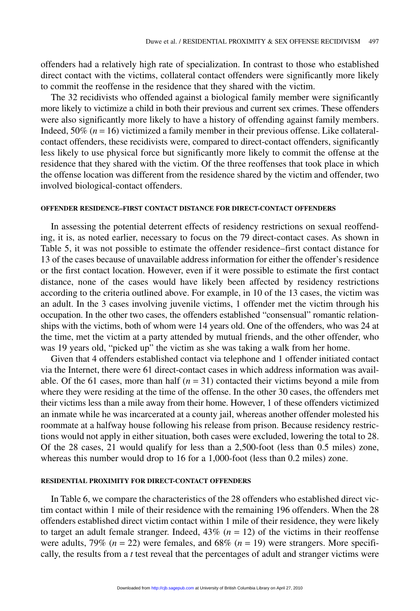offenders had a relatively high rate of specialization. In contrast to those who established direct contact with the victims, collateral contact offenders were significantly more likely to commit the reoffense in the residence that they shared with the victim.

The 32 recidivists who offended against a biological family member were significantly more likely to victimize a child in both their previous and current sex crimes. These offenders were also significantly more likely to have a history of offending against family members. Indeed, 50% (*n* = 16) victimized a family member in their previous offense. Like collateralcontact offenders, these recidivists were, compared to direct-contact offenders, significantly less likely to use physical force but significantly more likely to commit the offense at the residence that they shared with the victim. Of the three reoffenses that took place in which the offense location was different from the residence shared by the victim and offender, two involved biological-contact offenders.

#### **OFFENDER RESIDENCE–FIRST CONTACT DISTANCE FOR DIRECT-CONTACT OFFENDERS**

In assessing the potential deterrent effects of residency restrictions on sexual reoffending, it is, as noted earlier, necessary to focus on the 79 direct-contact cases. As shown in Table 5, it was not possible to estimate the offender residence–first contact distance for 13 of the cases because of unavailable address information for either the offender's residence or the first contact location. However, even if it were possible to estimate the first contact distance, none of the cases would have likely been affected by residency restrictions according to the criteria outlined above. For example, in 10 of the 13 cases, the victim was an adult. In the 3 cases involving juvenile victims, 1 offender met the victim through his occupation. In the other two cases, the offenders established "consensual" romantic relationships with the victims, both of whom were 14 years old. One of the offenders, who was 24 at the time, met the victim at a party attended by mutual friends, and the other offender, who was 19 years old, "picked up" the victim as she was taking a walk from her home.

Given that 4 offenders established contact via telephone and 1 offender initiated contact via the Internet, there were 61 direct-contact cases in which address information was available. Of the 61 cases, more than half  $(n = 31)$  contacted their victims beyond a mile from where they were residing at the time of the offense. In the other 30 cases, the offenders met their victims less than a mile away from their home. However, 1 of these offenders victimized an inmate while he was incarcerated at a county jail, whereas another offender molested his roommate at a halfway house following his release from prison. Because residency restrictions would not apply in either situation, both cases were excluded, lowering the total to 28. Of the 28 cases, 21 would qualify for less than a 2,500-foot (less than 0.5 miles) zone, whereas this number would drop to 16 for a 1,000-foot (less than 0.2 miles) zone.

#### **RESIDENTIAL PROXIMITY FOR DIRECT-CONTACT OFFENDERS**

In Table 6, we compare the characteristics of the 28 offenders who established direct victim contact within 1 mile of their residence with the remaining 196 offenders. When the 28 offenders established direct victim contact within 1 mile of their residence, they were likely to target an adult female stranger. Indeed,  $43\%$  ( $n = 12$ ) of the victims in their reoffense were adults, 79% ( $n = 22$ ) were females, and 68% ( $n = 19$ ) were strangers. More specifically, the results from a *t* test reveal that the percentages of adult and stranger victims were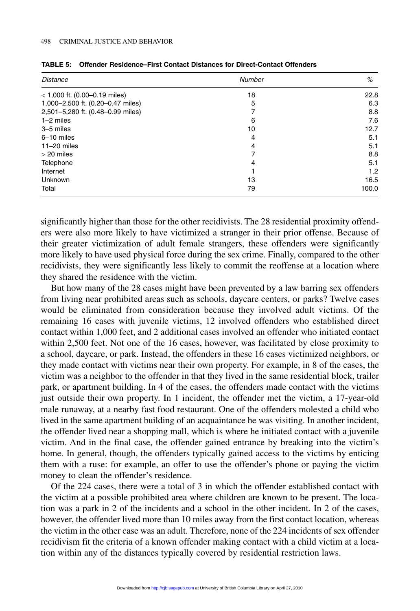| <b>Distance</b>                   | <b>Number</b> | %     |
|-----------------------------------|---------------|-------|
| $<$ 1,000 ft. (0.00–0.19 miles)   | 18            | 22.8  |
| 1,000-2,500 ft. (0.20-0.47 miles) | 5             | 6.3   |
| 2,501-5,280 ft. (0.48-0.99 miles) |               | 8.8   |
| $1-2$ miles                       | 6             | 7.6   |
| 3-5 miles                         | 10            | 12.7  |
| 6-10 miles                        | 4             | 5.1   |
| $11-20$ miles                     | 4             | 5.1   |
| $>$ 20 miles                      |               | 8.8   |
| Telephone                         | 4             | 5.1   |
| Internet                          |               | 1.2   |
| Unknown                           | 13            | 16.5  |
| Total                             | 79            | 100.0 |

**TABLE 5: Offender Residence–First Contact Distances for Direct-Contact Offenders**

significantly higher than those for the other recidivists. The 28 residential proximity offenders were also more likely to have victimized a stranger in their prior offense. Because of their greater victimization of adult female strangers, these offenders were significantly more likely to have used physical force during the sex crime. Finally, compared to the other recidivists, they were significantly less likely to commit the reoffense at a location where they shared the residence with the victim.

But how many of the 28 cases might have been prevented by a law barring sex offenders from living near prohibited areas such as schools, daycare centers, or parks? Twelve cases would be eliminated from consideration because they involved adult victims. Of the remaining 16 cases with juvenile victims, 12 involved offenders who established direct contact within 1,000 feet, and 2 additional cases involved an offender who initiated contact within 2,500 feet. Not one of the 16 cases, however, was facilitated by close proximity to a school, daycare, or park. Instead, the offenders in these 16 cases victimized neighbors, or they made contact with victims near their own property. For example, in 8 of the cases, the victim was a neighbor to the offender in that they lived in the same residential block, trailer park, or apartment building. In 4 of the cases, the offenders made contact with the victims just outside their own property. In 1 incident, the offender met the victim, a 17-year-old male runaway, at a nearby fast food restaurant. One of the offenders molested a child who lived in the same apartment building of an acquaintance he was visiting. In another incident, the offender lived near a shopping mall, which is where he initiated contact with a juvenile victim. And in the final case, the offender gained entrance by breaking into the victim's home. In general, though, the offenders typically gained access to the victims by enticing them with a ruse: for example, an offer to use the offender's phone or paying the victim money to clean the offender's residence.

Of the 224 cases, there were a total of 3 in which the offender established contact with the victim at a possible prohibited area where children are known to be present. The location was a park in 2 of the incidents and a school in the other incident. In 2 of the cases, however, the offender lived more than 10 miles away from the first contact location, whereas the victim in the other case was an adult. Therefore, none of the 224 incidents of sex offender recidivism fit the criteria of a known offender making contact with a child victim at a location within any of the distances typically covered by residential restriction laws.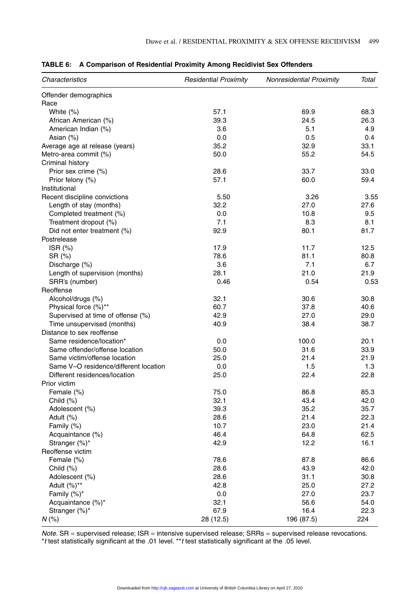| Characteristics                       | <b>Residential Proximity</b> | Nonresidential Proximity | Total |
|---------------------------------------|------------------------------|--------------------------|-------|
| Offender demographics                 |                              |                          |       |
| Race                                  |                              |                          |       |
| White (%)                             | 57.1                         | 69.9                     | 68.3  |
| African American (%)                  | 39.3                         | 24.5                     | 26.3  |
| American Indian (%)                   | 3.6                          | 5.1                      | 4.9   |
| Asian (%)                             | 0.0                          | 0.5                      | 0.4   |
| Average age at release (years)        | 35.2                         | 32.9                     | 33.1  |
| Metro-area commit (%)                 | 50.0                         | 55.2                     | 54.5  |
| Criminal history                      |                              |                          |       |
| Prior sex crime (%)                   | 28.6                         | 33.7                     | 33.0  |
| Prior felony (%)                      | 57.1                         | 60.0                     | 59.4  |
| Institutional                         |                              |                          |       |
| Recent discipline convictions         | 5.50                         | 3.26                     | 3.55  |
| Length of stay (months)               | 32.2                         | 27.0                     | 27.6  |
| Completed treatment (%)               | 0.0                          | 10.8                     | 9.5   |
| Treatment dropout (%)                 | 7.1                          | 8.3                      | 8.1   |
| Did not enter treatment (%)           | 92.9                         | 80.1                     | 81.7  |
| Postrelease                           |                              |                          |       |
| ISR $(%)$                             | 17.9                         | 11.7                     | 12.5  |
| SR (%)                                | 78.6                         | 81.1                     | 80.8  |
| Discharge (%)                         | 3.6                          | 7.1                      | 6.7   |
| Length of supervision (months)        | 28.1                         | 21.0                     | 21.9  |
| SRR's (number)                        | 0.46                         | 0.54                     | 0.53  |
| Reoffense                             |                              |                          |       |
| Alcohol/drugs (%)                     | 32.1                         | 30.6                     | 30.8  |
| Physical force (%)**                  | 60.7                         | 37.8                     | 40.6  |
| Supervised at time of offense (%)     | 42.9                         | 27.0                     | 29.0  |
| Time unsupervised (months)            | 40.9                         | 38.4                     | 38.7  |
| Distance to sex reoffense             |                              |                          |       |
| Same residence/location*              | 0.0                          | 100.0                    | 20.1  |
| Same offender/offense location        | 50.0                         | 31.6                     | 33.9  |
| Same victim/offense location          | 25.0                         | 21.4                     | 21.9  |
| Same V-O residence/different location | 0.0                          | 1.5                      | 1.3   |
| Different residences/location         | 25.0                         | 22.4                     | 22.8  |
| Prior victim                          |                              |                          |       |
| Female (%)                            | 75.0                         | 86.8                     | 85.3  |
| Child $(\%)$                          | 32.1                         | 43.4                     | 42.0  |
| Adolescent (%)                        | 39.3                         | 35.2                     | 35.7  |
| Adult (%)                             | 28.6                         | 21.4                     | 22.3  |
| Family (%)                            | 10.7                         | 23.0                     | 21.4  |
| Acquaintance (%)                      | 46.4                         | 64.8                     | 62.5  |
| Stranger (%)*                         | 42.9                         | 12.2                     | 16.1  |
| Reoffense victim                      |                              |                          |       |
| Female (%)                            | 78.6                         | 87.8                     | 86.6  |
| Child $(\%)$                          | 28.6                         | 43.9                     | 42.0  |
| Adolescent (%)                        | 28.6                         | 31.1                     | 30.8  |
| Adult $(\%)^{**}$                     | 42.8                         | 25.0                     | 27.2  |
| Family $(\%)^*$                       | 0.0                          | 27.0                     | 23.7  |
| Acquaintance (%)*                     | 32.1                         | 56.6                     | 54.0  |
| Stranger (%)*                         | 67.9                         | 16.4                     | 22.3  |
| $N$ (%)                               | 28 (12.5)                    | 196 (87.5)               | 224   |
|                                       |                              |                          |       |

#### **TABLE 6: A Comparison of Residential Proximity Among Recidivist Sex Offenders**

Note. SR = supervised release; ISR = intensive supervised release; SRRs = supervised release revocations. \*<sup>t</sup> test statistically significant at the .01 level. \*\*<sup>t</sup> test statistically significant at the .05 level.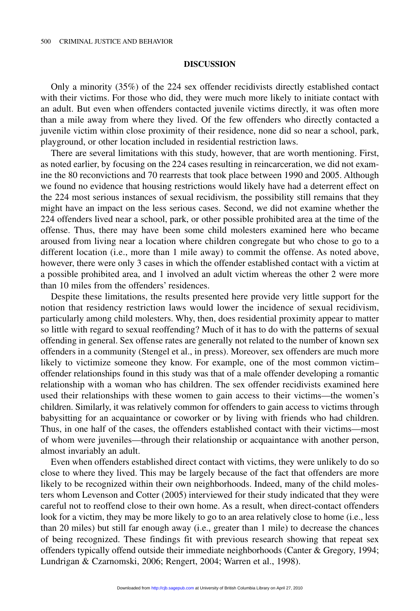#### **DISCUSSION**

Only a minority (35%) of the 224 sex offender recidivists directly established contact with their victims. For those who did, they were much more likely to initiate contact with an adult. But even when offenders contacted juvenile victims directly, it was often more than a mile away from where they lived. Of the few offenders who directly contacted a juvenile victim within close proximity of their residence, none did so near a school, park, playground, or other location included in residential restriction laws.

There are several limitations with this study, however, that are worth mentioning. First, as noted earlier, by focusing on the 224 cases resulting in reincarceration, we did not examine the 80 reconvictions and 70 rearrests that took place between 1990 and 2005. Although we found no evidence that housing restrictions would likely have had a deterrent effect on the 224 most serious instances of sexual recidivism, the possibility still remains that they might have an impact on the less serious cases. Second, we did not examine whether the 224 offenders lived near a school, park, or other possible prohibited area at the time of the offense. Thus, there may have been some child molesters examined here who became aroused from living near a location where children congregate but who chose to go to a different location (i.e., more than 1 mile away) to commit the offense. As noted above, however, there were only 3 cases in which the offender established contact with a victim at a possible prohibited area, and 1 involved an adult victim whereas the other 2 were more than 10 miles from the offenders' residences.

Despite these limitations, the results presented here provide very little support for the notion that residency restriction laws would lower the incidence of sexual recidivism, particularly among child molesters. Why, then, does residential proximity appear to matter so little with regard to sexual reoffending? Much of it has to do with the patterns of sexual offending in general. Sex offense rates are generally not related to the number of known sex offenders in a community (Stengel et al., in press). Moreover, sex offenders are much more likely to victimize someone they know. For example, one of the most common victim– offender relationships found in this study was that of a male offender developing a romantic relationship with a woman who has children. The sex offender recidivists examined here used their relationships with these women to gain access to their victims—the women's children. Similarly, it was relatively common for offenders to gain access to victims through babysitting for an acquaintance or coworker or by living with friends who had children. Thus, in one half of the cases, the offenders established contact with their victims—most of whom were juveniles—through their relationship or acquaintance with another person, almost invariably an adult.

Even when offenders established direct contact with victims, they were unlikely to do so close to where they lived. This may be largely because of the fact that offenders are more likely to be recognized within their own neighborhoods. Indeed, many of the child molesters whom Levenson and Cotter (2005) interviewed for their study indicated that they were careful not to reoffend close to their own home. As a result, when direct-contact offenders look for a victim, they may be more likely to go to an area relatively close to home (i.e., less than 20 miles) but still far enough away (i.e., greater than 1 mile) to decrease the chances of being recognized. These findings fit with previous research showing that repeat sex offenders typically offend outside their immediate neighborhoods (Canter & Gregory, 1994; Lundrigan & Czarnomski, 2006; Rengert, 2004; Warren et al., 1998).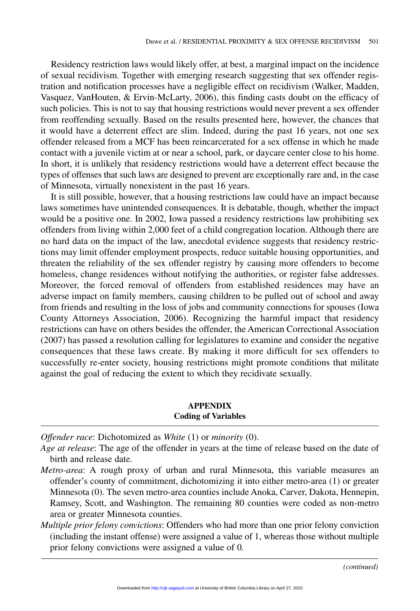Residency restriction laws would likely offer, at best, a marginal impact on the incidence of sexual recidivism. Together with emerging research suggesting that sex offender registration and notification processes have a negligible effect on recidivism (Walker, Madden, Vasquez, VanHouten, & Ervin-McLarty, 2006), this finding casts doubt on the efficacy of such policies. This is not to say that housing restrictions would never prevent a sex offender from reoffending sexually. Based on the results presented here, however, the chances that it would have a deterrent effect are slim. Indeed, during the past 16 years, not one sex offender released from a MCF has been reincarcerated for a sex offense in which he made contact with a juvenile victim at or near a school, park, or daycare center close to his home. In short, it is unlikely that residency restrictions would have a deterrent effect because the types of offenses that such laws are designed to prevent are exceptionally rare and, in the case of Minnesota, virtually nonexistent in the past 16 years.

It is still possible, however, that a housing restrictions law could have an impact because laws sometimes have unintended consequences. It is debatable, though, whether the impact would be a positive one. In 2002, Iowa passed a residency restrictions law prohibiting sex offenders from living within 2,000 feet of a child congregation location. Although there are no hard data on the impact of the law, anecdotal evidence suggests that residency restrictions may limit offender employment prospects, reduce suitable housing opportunities, and threaten the reliability of the sex offender registry by causing more offenders to become homeless, change residences without notifying the authorities, or register false addresses. Moreover, the forced removal of offenders from established residences may have an adverse impact on family members, causing children to be pulled out of school and away from friends and resulting in the loss of jobs and community connections for spouses (Iowa County Attorneys Association, 2006). Recognizing the harmful impact that residency restrictions can have on others besides the offender, the American Correctional Association (2007) has passed a resolution calling for legislatures to examine and consider the negative consequences that these laws create. By making it more difficult for sex offenders to successfully re-enter society, housing restrictions might promote conditions that militate against the goal of reducing the extent to which they recidivate sexually.

#### **APPENDIX Coding of Variables**

*Offender race*: Dichotomized as *White* (1) or *minority* (0).

*Age at release*: The age of the offender in years at the time of release based on the date of birth and release date.

*Metro-area*: A rough proxy of urban and rural Minnesota, this variable measures an offender's county of commitment, dichotomizing it into either metro-area (1) or greater Minnesota (0). The seven metro-area counties include Anoka, Carver, Dakota, Hennepin, Ramsey, Scott, and Washington. The remaining 80 counties were coded as non-metro area or greater Minnesota counties.

*Multiple prior felony convictions*: Offenders who had more than one prior felony conviction (including the instant offense) were assigned a value of 1, whereas those without multiple prior felony convictions were assigned a value of 0.

*(continued)*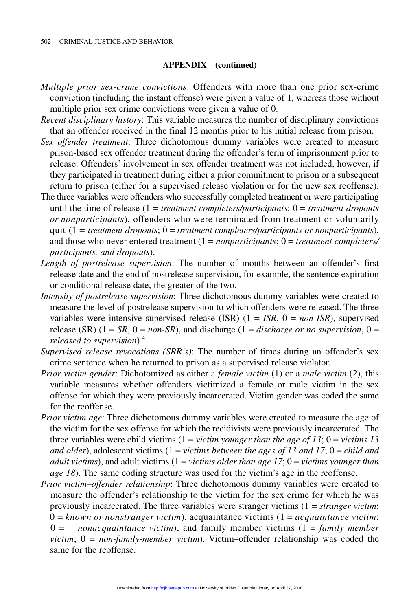#### **APPENDIX (continued)**

- *Multiple prior sex-crime convictions*: Offenders with more than one prior sex-crime conviction (including the instant offense) were given a value of 1, whereas those without multiple prior sex crime convictions were given a value of 0.
- *Recent disciplinary history*: This variable measures the number of disciplinary convictions that an offender received in the final 12 months prior to his initial release from prison.
- *Sex offender treatment*: Three dichotomous dummy variables were created to measure prison-based sex offender treatment during the offender's term of imprisonment prior to release. Offenders' involvement in sex offender treatment was not included, however, if they participated in treatment during either a prior commitment to prison or a subsequent return to prison (either for a supervised release violation or for the new sex reoffense).
- The three variables were offenders who successfully completed treatment or were participating until the time of release (1 = *treatment completers/participants*; 0 = *treatment dropouts or nonparticipants*), offenders who were terminated from treatment or voluntarily quit (1 = *treatment dropouts*; 0 = *treatment completers/participants or nonparticipants*), and those who never entered treatment (1 = *nonparticipants*; 0 = *treatment completers/ participants, and dropouts*).
- *Length of postrelease supervision*: The number of months between an offender's first release date and the end of postrelease supervision, for example, the sentence expiration or conditional release date, the greater of the two.
- *Intensity of postrelease supervision*: Three dichotomous dummy variables were created to measure the level of postrelease supervision to which offenders were released. The three variables were intensive supervised release (ISR)  $(1 = ISR, 0 = non-ISR)$ , supervised release (SR)  $(1 = SR, 0 = non-SR)$ , and discharge  $(1 = discharge \ or \ no \ supervision, 0 =$ *released to supervision*).4
- *Supervised release revocations (SRR's)*: The number of times during an offender's sex crime sentence when he returned to prison as a supervised release violator.
- *Prior victim gender*: Dichotomized as either a *female victim* (1) or a *male victim* (2), this variable measures whether offenders victimized a female or male victim in the sex offense for which they were previously incarcerated. Victim gender was coded the same for the reoffense.
- *Prior victim age*: Three dichotomous dummy variables were created to measure the age of the victim for the sex offense for which the recidivists were previously incarcerated. The three variables were child victims  $(1 = victim$  younger than the age of 13;  $0 = victims$  13 *and older*), adolescent victims  $(1 =$  *victims between the ages of 13 and 17*;  $0 =$  *child and adult victims*), and adult victims (1 = *victims older than age 17*; 0 = *victims younger than age 18*). The same coding structure was used for the victim's age in the reoffense.
- *Prior victim–offender relationship*: Three dichotomous dummy variables were created to measure the offender's relationship to the victim for the sex crime for which he was previously incarcerated. The three variables were stranger victims (1 = *stranger victim*; 0 = *known or nonstranger victim*), acquaintance victims (1 = *acquaintance victim*; 0 = *nonacquaintance victim*), and family member victims (1 = *family member victim*; 0 = *non-family-member victim*). Victim–offender relationship was coded the same for the reoffense.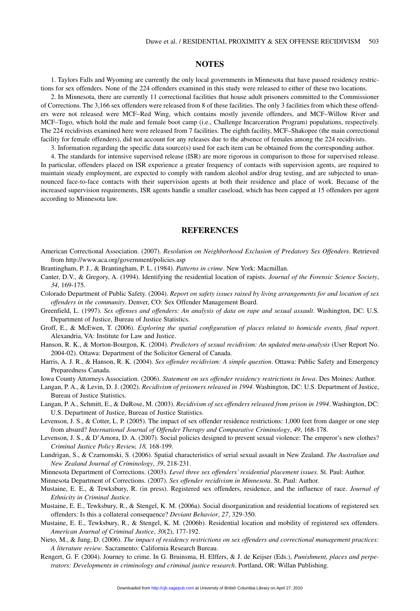#### **NOTES**

1. Taylors Falls and Wyoming are currently the only local governments in Minnesota that have passed residency restrictions for sex offenders. None of the 224 offenders examined in this study were released to either of these two locations.

2. In Minnesota, there are currently 11 correctional facilities that house adult prisoners committed to the Commissioner of Corrections. The 3,166 sex offenders were released from 8 of these facilities. The only 3 facilities from which these offenders were not released were MCF–Red Wing, which contains mostly juvenile offenders, and MCF–Willow River and MCF–Togo, which hold the male and female boot camp (i.e., Challenge Incarceration Program) populations, respectively. The 224 recidivists examined here were released from 7 facilities. The eighth facility, MCF–Shakopee (the main correctional facility for female offenders), did not account for any releases due to the absence of females among the 224 recidivists.

3. Information regarding the specific data source(s) used for each item can be obtained from the corresponding author.

4. The standards for intensive supervised release (ISR) are more rigorous in comparison to those for supervised release. In particular, offenders placed on ISR experience a greater frequency of contacts with supervision agents, are required to maintain steady employment, are expected to comply with random alcohol and/or drug testing, and are subjected to unannounced face-to-face contacts with their supervision agents at both their residence and place of work. Because of the increased supervision requirements, ISR agents handle a smaller caseload, which has been capped at 15 offenders per agent according to Minnesota law.

#### **REFERENCES**

- American Correctional Association. (2007). *Resolution on Neighborhood Exclusion of Predatory Sex Offenders*. Retrieved from http://www.aca.org/government/policies.asp
- Brantingham, P. J., & Brantingham, P. L. (1984). *Patterns in crime*. New York: Macmillan.
- Canter, D.V., & Gregory, A. (1994). Identifying the residential location of rapists. *Journal of the Forensic Science Society*, *34*, 169-175.
- Colorado Department of Public Safety. (2004). *Report on safety issues raised by living arrangements for and location of sex offenders in the community*. Denver, CO: Sex Offender Management Board.
- Greenfield, L. (1997). *Sex offenses and offenders: An analysis of data on rape and sexual assault*. Washington, DC: U.S. Department of Justice, Bureau of Justice Statistics.
- Groff, E., & McEwen, T. (2006). *Exploring the spatial configuration of places related to homicide events, final report*. Alexandria, VA: Institute for Law and Justice.
- Hanson, R. K., & Morton-Bourgon, K. (2004). *Predictors of sexual recidivism: An updated meta-analysis* (User Report No. 2004-02). Ottawa: Department of the Solicitor General of Canada.
- Harris, A. J. R., & Hanson, R. K. (2004). *Sex offender recidivism: A simple question*. Ottawa: Public Safety and Emergency Preparedness Canada.
- Iowa County Attorneys Association. (2006). *Statement on sex offender residency restrictions in Iowa*. Des Moines: Author.
- Langan, P. A., & Levin, D. J. (2002). *Recidivism of prisoners released in 1994*. Washington, DC: U.S. Department of Justice, Bureau of Justice Statistics.
- Langan, P. A., Schmitt, E., & DuRose, M. (2003). *Recidivism of sex offenders released from prison in 1994*. Washington, DC: U.S. Department of Justice, Bureau of Justice Statistics.
- Levenson, J. S., & Cotter, L. P. (2005). The impact of sex offender residence restrictions: 1,000 feet from danger or one step from absurd? *International Journal of Offender Therapy and Comparative Criminology*, *49*, 168-178.
- Levenson, J. S., & D'Amora, D. A. (2007). Social policies designed to prevent sexual violence: The emperor's new clothes? *Criminal Justice Policy Review, 18,* 168-199.
- Lundrigan, S., & Czarnomski, S. (2006). Spatial characteristics of serial sexual assault in New Zealand. *The Australian and New Zealand Journal of Criminology*, *39*, 218-231.
- Minnesota Department of Corrections. (2003). *Level three sex offenders' residential placement issues*. St. Paul: Author.

Minnesota Department of Corrections. (2007). *Sex offender recidivism in Minnesota*. St. Paul: Author.

- Mustaine, E. E., & Tewksbury, R. (in press). Registered sex offenders, residence, and the influence of race. *Journal of Ethnicity in Criminal Justice*.
- Mustaine, E. E., Tewksbury, R., & Stengel, K. M. (2006a). Social disorganization and residential locations of registered sex offenders: Is this a collateral consequence? *Deviant Behavior*, *27*, 329-350.
- Mustaine, E. E., Tewksbury, R., & Stengel, K. M. (2006b). Residential location and mobility of registered sex offenders. *American Journal of Criminal Justice*, *30*(2), 177-192.
- Nieto, M., & Jung, D. (2006). *The impact of residency restrictions on sex offenders and correctional management practices: A literature review*. Sacramento: California Research Bureau.
- Rengert, G. F. (2004). Journey to crime. In G. Bruinsma, H. Elffers, & J. de Keijser (Eds.), *Punishment, places and perpetrators: Developments in criminology and criminal justice research*. Portland, OR: Willan Publishing.